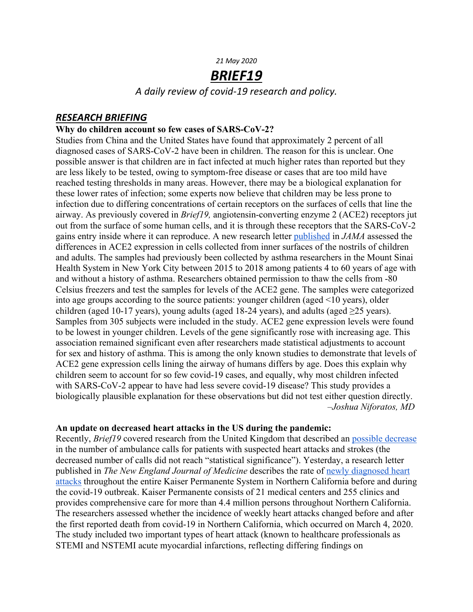#### *21 May 2020*

# *BRIEF19*

*A daily review of covid-19 research and policy.*

## *RESEARCH BRIEFING*

### **Why do children account so few cases of SARS-CoV-2?**

Studies from China and the United States have found that approximately 2 percent of all diagnosed cases of SARS-CoV-2 have been in children. The reason for this is unclear. One possible answer is that children are in fact infected at much higher rates than reported but they are less likely to be tested, owing to symptom-free disease or cases that are too mild have reached testing thresholds in many areas. However, there may be a biological explanation for these lower rates of infection; some experts now believe that children may be less prone to infection due to differing concentrations of certain receptors on the surfaces of cells that line the airway. As previously covered in *Brief19,* angiotensin-converting enzyme 2 (ACE2) receptors jut out from the surface of some human cells, and it is through these receptors that the SARS-CoV-2 gains entry inside where it can reproduce. A new research letter published in *JAMA* assessed the differences in ACE2 expression in cells collected from inner surfaces of the nostrils of children and adults. The samples had previously been collected by asthma researchers in the Mount Sinai Health System in New York City between 2015 to 2018 among patients 4 to 60 years of age with and without a history of asthma. Researchers obtained permission to thaw the cells from -80 Celsius freezers and test the samples for levels of the ACE2 gene. The samples were categorized into age groups according to the source patients: younger children (aged <10 years), older children (aged 10-17 years), young adults (aged 18-24 years), and adults (aged  $\geq$ 25 years). Samples from 305 subjects were included in the study. ACE2 gene expression levels were found to be lowest in younger children. Levels of the gene significantly rose with increasing age. This association remained significant even after researchers made statistical adjustments to account for sex and history of asthma. This is among the only known studies to demonstrate that levels of ACE2 gene expression cells lining the airway of humans differs by age. Does this explain why children seem to account for so few covid-19 cases, and equally, why most children infected with SARS-CoV-2 appear to have had less severe covid-19 disease? This study provides a biologically plausible explanation for these observations but did not test either question directly.  *–Joshua Niforatos, MD*

### **An update on decreased heart attacks in the US during the pandemic:**

Recently, *Brief19* covered research from the United Kingdom that described an possible decrease in the number of ambulance calls for patients with suspected heart attacks and strokes (the decreased number of calls did not reach "statistical significance"). Yesterday, a research letter published in *The New England Journal of Medicine* describes the rate of newly diagnosed heart attacks throughout the entire Kaiser Permanente System in Northern California before and during the covid-19 outbreak. Kaiser Permanente consists of 21 medical centers and 255 clinics and provides comprehensive care for more than 4.4 million persons throughout Northern California. The researchers assessed whether the incidence of weekly heart attacks changed before and after the first reported death from covid-19 in Northern California, which occurred on March 4, 2020. The study included two important types of heart attack (known to healthcare professionals as STEMI and NSTEMI acute myocardial infarctions, reflecting differing findings on